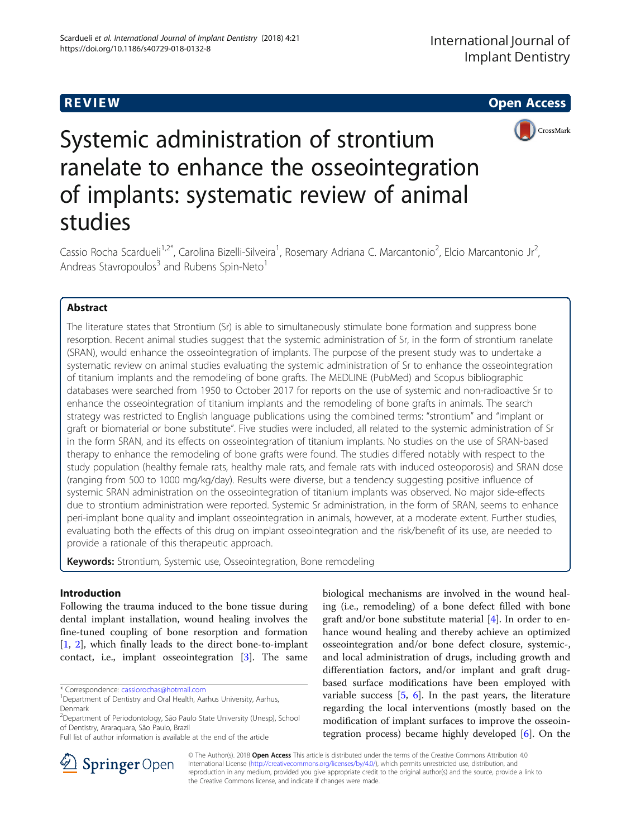**REVIEW CONSTRUCTION CONSTRUCTION CONSTRUCTS** 



# Systemic administration of strontium ranelate to enhance the osseointegration of implants: systematic review of animal studies

Cassio Rocha Scardueli<sup>1,2\*</sup>, Carolina Bizelli-Silveira<sup>1</sup>, Rosemary Adriana C. Marcantonio<sup>2</sup>, Elcio Marcantonio Jr<sup>2</sup> .<br>, Andreas Stavropoulos<sup>3</sup> and Rubens Spin-Neto<sup>1</sup>

# Abstract

The literature states that Strontium (Sr) is able to simultaneously stimulate bone formation and suppress bone resorption. Recent animal studies suggest that the systemic administration of Sr, in the form of strontium ranelate (SRAN), would enhance the osseointegration of implants. The purpose of the present study was to undertake a systematic review on animal studies evaluating the systemic administration of Sr to enhance the osseointegration of titanium implants and the remodeling of bone grafts. The MEDLINE (PubMed) and Scopus bibliographic databases were searched from 1950 to October 2017 for reports on the use of systemic and non-radioactive Sr to enhance the osseointegration of titanium implants and the remodeling of bone grafts in animals. The search strategy was restricted to English language publications using the combined terms: "strontium" and "implant or graft or biomaterial or bone substitute". Five studies were included, all related to the systemic administration of Sr in the form SRAN, and its effects on osseointegration of titanium implants. No studies on the use of SRAN-based therapy to enhance the remodeling of bone grafts were found. The studies differed notably with respect to the study population (healthy female rats, healthy male rats, and female rats with induced osteoporosis) and SRAN dose (ranging from 500 to 1000 mg/kg/day). Results were diverse, but a tendency suggesting positive influence of systemic SRAN administration on the osseointegration of titanium implants was observed. No major side-effects due to strontium administration were reported. Systemic Sr administration, in the form of SRAN, seems to enhance peri-implant bone quality and implant osseointegration in animals, however, at a moderate extent. Further studies, evaluating both the effects of this drug on implant osseointegration and the risk/benefit of its use, are needed to provide a rationale of this therapeutic approach.

Keywords: Strontium, Systemic use, Osseointegration, Bone remodeling

# Introduction

Following the trauma induced to the bone tissue during dental implant installation, wound healing involves the fine-tuned coupling of bone resorption and formation [[1,](#page-7-0) [2\]](#page-7-0), which finally leads to the direct bone-to-implant contact, i.e., implant osseointegration [\[3](#page-7-0)]. The same

\* Correspondence: [cassiorochas@hotmail.com](mailto:cassiorochas@hotmail.com) <sup>1</sup>

biological mechanisms are involved in the wound healing (i.e., remodeling) of a bone defect filled with bone graft and/or bone substitute material  $[4]$  $[4]$ . In order to enhance wound healing and thereby achieve an optimized osseointegration and/or bone defect closure, systemic-, and local administration of drugs, including growth and differentiation factors, and/or implant and graft drugbased surface modifications have been employed with variable success [\[5](#page-7-0), [6\]](#page-7-0). In the past years, the literature regarding the local interventions (mostly based on the modification of implant surfaces to improve the osseointegration process) became highly developed [[6](#page-7-0)]. On the



© The Author(s). 2018 Open Access This article is distributed under the terms of the Creative Commons Attribution 4.0 International License ([http://creativecommons.org/licenses/by/4.0/\)](http://creativecommons.org/licenses/by/4.0/), which permits unrestricted use, distribution, and reproduction in any medium, provided you give appropriate credit to the original author(s) and the source, provide a link to the Creative Commons license, and indicate if changes were made.

<sup>&</sup>lt;sup>1</sup>Department of Dentistry and Oral Health, Aarhus University, Aarhus, Denmark

<sup>&</sup>lt;sup>2</sup>Department of Periodontology, São Paulo State University (Unesp), School of Dentistry, Araraquara, São Paulo, Brazil

Full list of author information is available at the end of the article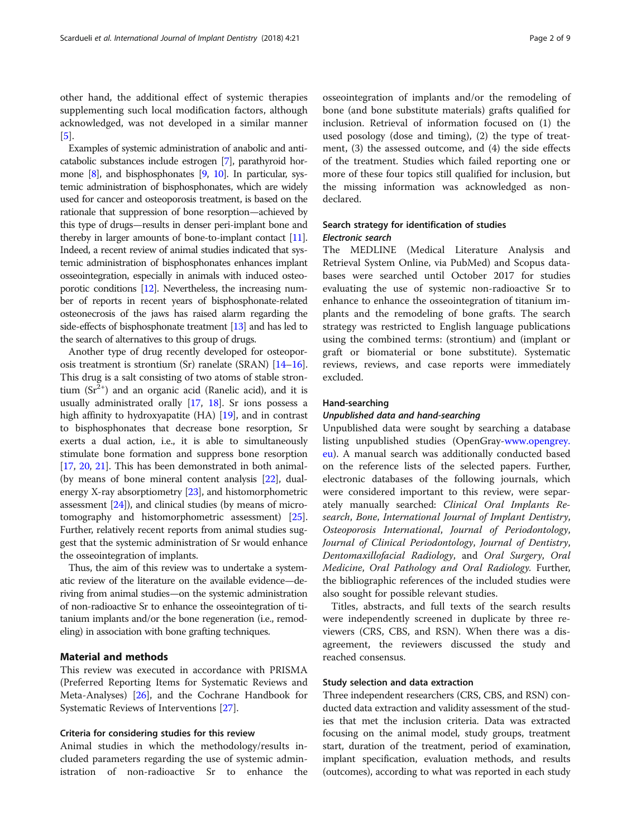other hand, the additional effect of systemic therapies supplementing such local modification factors, although acknowledged, was not developed in a similar manner [[5\]](#page-7-0).

Examples of systemic administration of anabolic and anticatabolic substances include estrogen [[7](#page-7-0)], parathyroid hormone [\[8\]](#page-7-0), and bisphosphonates [[9](#page-7-0), [10\]](#page-7-0). In particular, systemic administration of bisphosphonates, which are widely used for cancer and osteoporosis treatment, is based on the rationale that suppression of bone resorption—achieved by this type of drugs—results in denser peri-implant bone and thereby in larger amounts of bone-to-implant contact [\[11](#page-7-0)]. Indeed, a recent review of animal studies indicated that systemic administration of bisphosphonates enhances implant osseointegration, especially in animals with induced osteoporotic conditions [[12](#page-7-0)]. Nevertheless, the increasing number of reports in recent years of bisphosphonate-related osteonecrosis of the jaws has raised alarm regarding the side-effects of bisphosphonate treatment [\[13\]](#page-7-0) and has led to the search of alternatives to this group of drugs.

Another type of drug recently developed for osteoporosis treatment is strontium (Sr) ranelate (SRAN) [\[14](#page-7-0)–[16](#page-7-0)]. This drug is a salt consisting of two atoms of stable strontium  $(Sr^{2+})$  and an organic acid (Ranelic acid), and it is usually administrated orally [[17,](#page-7-0) [18](#page-7-0)]. Sr ions possess a high affinity to hydroxyapatite (HA) [\[19\]](#page-7-0), and in contrast to bisphosphonates that decrease bone resorption, Sr exerts a dual action, i.e., it is able to simultaneously stimulate bone formation and suppress bone resorption [[17](#page-7-0), [20,](#page-7-0) [21\]](#page-7-0). This has been demonstrated in both animal- (by means of bone mineral content analysis [\[22\]](#page-7-0), dualenergy X-ray absorptiometry [[23](#page-7-0)], and histomorphometric assessment [\[24\]](#page-8-0)), and clinical studies (by means of microtomography and histomorphometric assessment) [[25](#page-8-0)]. Further, relatively recent reports from animal studies suggest that the systemic administration of Sr would enhance the osseointegration of implants.

Thus, the aim of this review was to undertake a systematic review of the literature on the available evidence—deriving from animal studies—on the systemic administration of non-radioactive Sr to enhance the osseointegration of titanium implants and/or the bone regeneration (i.e., remodeling) in association with bone grafting techniques.

# Material and methods

This review was executed in accordance with PRISMA (Preferred Reporting Items for Systematic Reviews and Meta-Analyses) [\[26](#page-8-0)], and the Cochrane Handbook for Systematic Reviews of Interventions [\[27](#page-8-0)].

#### Criteria for considering studies for this review

Animal studies in which the methodology/results included parameters regarding the use of systemic administration of non-radioactive Sr to enhance the

osseointegration of implants and/or the remodeling of bone (and bone substitute materials) grafts qualified for inclusion. Retrieval of information focused on (1) the used posology (dose and timing), (2) the type of treatment, (3) the assessed outcome, and (4) the side effects of the treatment. Studies which failed reporting one or more of these four topics still qualified for inclusion, but the missing information was acknowledged as nondeclared.

# Search strategy for identification of studies Electronic search

The MEDLINE (Medical Literature Analysis and Retrieval System Online, via PubMed) and Scopus databases were searched until October 2017 for studies evaluating the use of systemic non-radioactive Sr to enhance to enhance the osseointegration of titanium implants and the remodeling of bone grafts. The search strategy was restricted to English language publications using the combined terms: (strontium) and (implant or graft or biomaterial or bone substitute). Systematic reviews, reviews, and case reports were immediately excluded.

#### Hand-searching

#### Unpublished data and hand-searching

Unpublished data were sought by searching a database listing unpublished studies (OpenGray[-www.opengrey.](http://www.opengrey.eu) [eu](http://www.opengrey.eu)). A manual search was additionally conducted based on the reference lists of the selected papers. Further, electronic databases of the following journals, which were considered important to this review, were separately manually searched: Clinical Oral Implants Research, Bone, International Journal of Implant Dentistry, Osteoporosis International, Journal of Periodontology, Journal of Clinical Periodontology, Journal of Dentistry, Dentomaxillofacial Radiology, and Oral Surgery, Oral Medicine, Oral Pathology and Oral Radiology. Further, the bibliographic references of the included studies were also sought for possible relevant studies.

Titles, abstracts, and full texts of the search results were independently screened in duplicate by three reviewers (CRS, CBS, and RSN). When there was a disagreement, the reviewers discussed the study and reached consensus.

### Study selection and data extraction

Three independent researchers (CRS, CBS, and RSN) conducted data extraction and validity assessment of the studies that met the inclusion criteria. Data was extracted focusing on the animal model, study groups, treatment start, duration of the treatment, period of examination, implant specification, evaluation methods, and results (outcomes), according to what was reported in each study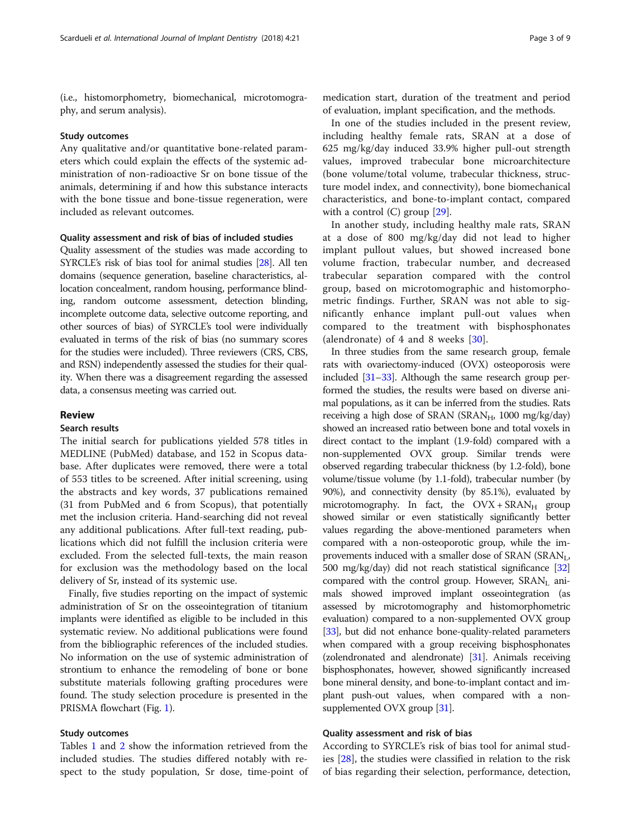(i.e., histomorphometry, biomechanical, microtomography, and serum analysis).

#### Study outcomes

Any qualitative and/or quantitative bone-related parameters which could explain the effects of the systemic administration of non-radioactive Sr on bone tissue of the animals, determining if and how this substance interacts with the bone tissue and bone-tissue regeneration, were included as relevant outcomes.

# Quality assessment and risk of bias of included studies

Quality assessment of the studies was made according to SYRCLE's risk of bias tool for animal studies [[28](#page-8-0)]. All ten domains (sequence generation, baseline characteristics, allocation concealment, random housing, performance blinding, random outcome assessment, detection blinding, incomplete outcome data, selective outcome reporting, and other sources of bias) of SYRCLE's tool were individually evaluated in terms of the risk of bias (no summary scores for the studies were included). Three reviewers (CRS, CBS, and RSN) independently assessed the studies for their quality. When there was a disagreement regarding the assessed data, a consensus meeting was carried out.

# Review

# Search results

The initial search for publications yielded 578 titles in MEDLINE (PubMed) database, and 152 in Scopus database. After duplicates were removed, there were a total of 553 titles to be screened. After initial screening, using the abstracts and key words, 37 publications remained (31 from PubMed and 6 from Scopus), that potentially met the inclusion criteria. Hand-searching did not reveal any additional publications. After full-text reading, publications which did not fulfill the inclusion criteria were excluded. From the selected full-texts, the main reason for exclusion was the methodology based on the local delivery of Sr, instead of its systemic use.

Finally, five studies reporting on the impact of systemic administration of Sr on the osseointegration of titanium implants were identified as eligible to be included in this systematic review. No additional publications were found from the bibliographic references of the included studies. No information on the use of systemic administration of strontium to enhance the remodeling of bone or bone substitute materials following grafting procedures were found. The study selection procedure is presented in the PRISMA flowchart (Fig. [1\)](#page-3-0).

# Study outcomes

Tables [1](#page-4-0) and [2](#page-5-0) show the information retrieved from the included studies. The studies differed notably with respect to the study population, Sr dose, time-point of

medication start, duration of the treatment and period of evaluation, implant specification, and the methods.

In one of the studies included in the present review, including healthy female rats, SRAN at a dose of 625 mg/kg/day induced 33.9% higher pull-out strength values, improved trabecular bone microarchitecture (bone volume/total volume, trabecular thickness, structure model index, and connectivity), bone biomechanical characteristics, and bone-to-implant contact, compared with a control  $(C)$  group  $[29]$  $[29]$ .

In another study, including healthy male rats, SRAN at a dose of 800 mg/kg/day did not lead to higher implant pullout values, but showed increased bone volume fraction, trabecular number, and decreased trabecular separation compared with the control group, based on microtomographic and histomorphometric findings. Further, SRAN was not able to significantly enhance implant pull-out values when compared to the treatment with bisphosphonates (alendronate) of 4 and 8 weeks  $[30]$  $[30]$ .

In three studies from the same research group, female rats with ovariectomy-induced (OVX) osteoporosis were included [\[31](#page-8-0)–[33\]](#page-8-0). Although the same research group performed the studies, the results were based on diverse animal populations, as it can be inferred from the studies. Rats receiving a high dose of SRAN (SRAN $_{H}$ , 1000 mg/kg/day) showed an increased ratio between bone and total voxels in direct contact to the implant (1.9-fold) compared with a non-supplemented OVX group. Similar trends were observed regarding trabecular thickness (by 1.2-fold), bone volume/tissue volume (by 1.1-fold), trabecular number (by 90%), and connectivity density (by 85.1%), evaluated by microtomography. In fact, the  $Ovx + SRAN<sub>H</sub>$  group showed similar or even statistically significantly better values regarding the above-mentioned parameters when compared with a non-osteoporotic group, while the improvements induced with a smaller dose of SRAN (SRAN<sub>L</sub>, 500 mg/kg/day) did not reach statistical significance [\[32](#page-8-0)] compared with the control group. However,  $SRAN<sub>L</sub>$  animals showed improved implant osseointegration (as assessed by microtomography and histomorphometric evaluation) compared to a non-supplemented OVX group [[33](#page-8-0)], but did not enhance bone-quality-related parameters when compared with a group receiving bisphosphonates (zolendronated and alendronate) [\[31](#page-8-0)]. Animals receiving bisphosphonates, however, showed significantly increased bone mineral density, and bone-to-implant contact and implant push-out values, when compared with a nonsupplemented OVX group [\[31\]](#page-8-0).

### Quality assessment and risk of bias

According to SYRCLE's risk of bias tool for animal studies [[28\]](#page-8-0), the studies were classified in relation to the risk of bias regarding their selection, performance, detection,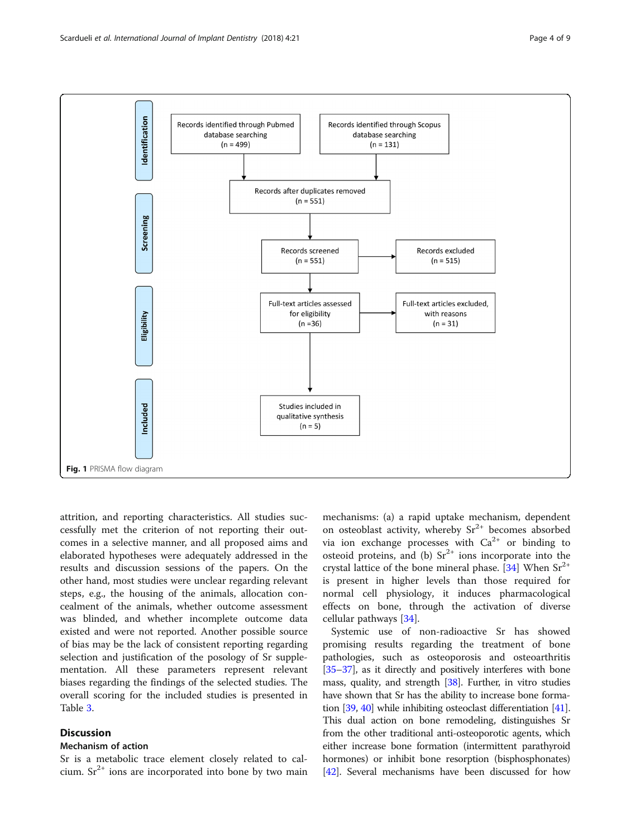<span id="page-3-0"></span>

attrition, and reporting characteristics. All studies successfully met the criterion of not reporting their outcomes in a selective manner, and all proposed aims and elaborated hypotheses were adequately addressed in the results and discussion sessions of the papers. On the other hand, most studies were unclear regarding relevant steps, e.g., the housing of the animals, allocation concealment of the animals, whether outcome assessment was blinded, and whether incomplete outcome data existed and were not reported. Another possible source of bias may be the lack of consistent reporting regarding selection and justification of the posology of Sr supplementation. All these parameters represent relevant biases regarding the findings of the selected studies. The overall scoring for the included studies is presented in Table [3.](#page-5-0)

# Discussion

# Mechanism of action

Sr is a metabolic trace element closely related to calcium.  $Sr^{2+}$  ions are incorporated into bone by two main

mechanisms: (a) a rapid uptake mechanism, dependent on osteoblast activity, whereby  $Sr^{2+}$  becomes absorbed via ion exchange processes with  $Ca^{2+}$  or binding to osteoid proteins, and (b)  $Sr^{2+}$  ions incorporate into the crystal lattice of the bone mineral phase. [[34\]](#page-8-0) When  $Sr^{2+}$ is present in higher levels than those required for normal cell physiology, it induces pharmacological effects on bone, through the activation of diverse cellular pathways [\[34\]](#page-8-0).

Systemic use of non-radioactive Sr has showed promising results regarding the treatment of bone pathologies, such as osteoporosis and osteoarthritis [[35](#page-8-0)–[37\]](#page-8-0), as it directly and positively interferes with bone mass, quality, and strength [[38](#page-8-0)]. Further, in vitro studies have shown that Sr has the ability to increase bone formation [\[39,](#page-8-0) [40](#page-8-0)] while inhibiting osteoclast differentiation [\[41](#page-8-0)]. This dual action on bone remodeling, distinguishes Sr from the other traditional anti-osteoporotic agents, which either increase bone formation (intermittent parathyroid hormones) or inhibit bone resorption (bisphosphonates) [[42](#page-8-0)]. Several mechanisms have been discussed for how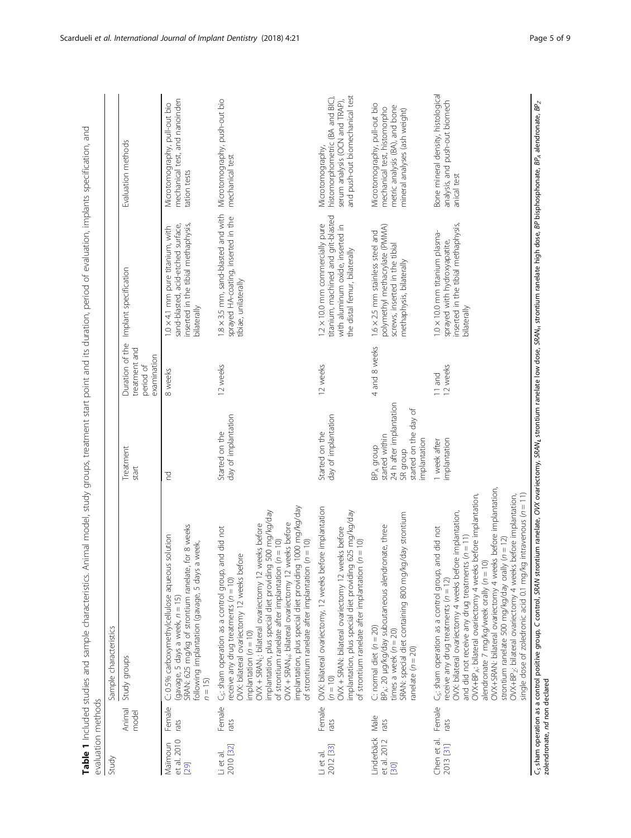<span id="page-4-0"></span>

| evaluation methods                |                 |                                                                                                                                                                                                                                                                                                                                                                                                                                                                                                                                                                                                                                             |                                                                                                                         |                                                              |                                                                                                                                             |                                                                                                                                  |
|-----------------------------------|-----------------|---------------------------------------------------------------------------------------------------------------------------------------------------------------------------------------------------------------------------------------------------------------------------------------------------------------------------------------------------------------------------------------------------------------------------------------------------------------------------------------------------------------------------------------------------------------------------------------------------------------------------------------------|-------------------------------------------------------------------------------------------------------------------------|--------------------------------------------------------------|---------------------------------------------------------------------------------------------------------------------------------------------|----------------------------------------------------------------------------------------------------------------------------------|
| Study                             |                 | Sample characteristics                                                                                                                                                                                                                                                                                                                                                                                                                                                                                                                                                                                                                      |                                                                                                                         |                                                              |                                                                                                                                             |                                                                                                                                  |
|                                   | Animal<br>model | Study groups                                                                                                                                                                                                                                                                                                                                                                                                                                                                                                                                                                                                                                | Treatment<br>start                                                                                                      | Duration of the<br>treatment and<br>examination<br>period of | Implant specification                                                                                                                       | Evaluation methods                                                                                                               |
| et al. 2010<br>Maimoun<br>[29]    | Female<br>rats  | SRAN: 625 mg/kg of strontium ranelate, for 8 weeks<br>C: 0.5% carboxymethylcellulose aqueous solution<br>a week,<br>following implantation (gavage, 5 days<br>(gavage, 5 days a week, n = 15)<br>$n = 15$                                                                                                                                                                                                                                                                                                                                                                                                                                   | 5                                                                                                                       | 8 weeks                                                      | inserted in the tibial methaphysis,<br>sand-blasted, acid-etched surface,<br>$1.0 \times 4.1$ mm pure titanium, with<br>bilaterally         | mechanical test, and nanoinden<br>Microtomography, pull-out bio<br>tation tests                                                  |
| 2010 [32]<br>Li et al.            | Female<br>rats  | implantation, plus special diet providing 1000 mg/kg/day<br>OVX + SRANL: bilateral ovariectomy 12 weeks before<br>implantation, plus special diet providing 500 mg/kg/day<br>weeks before<br>C <sub>5</sub> ; sham operation as a control group, and did not<br>of strontium ranelate after implantation (n = 10)<br>of strontium ranelate after implantation ( $n = 10$ )<br>OVX: bilateral ovariectomy 12 weeks before<br>OVX + SRAN <sub>H</sub> : bilateral ovariectomy 12<br>receive any drug treatments ( $n = 10$ )<br>implantation $(n = 10)$                                                                                       | day of implantation<br>Started on the                                                                                   | 12 weeks                                                     | 1.8 × 3.5 mm, sand-blasted and with<br>sprayed HA-coating, inserted in the<br>tibiae, unilaterally                                          | Microtomography, push-out bio<br>mechanical test                                                                                 |
| 2012 [33]<br>Li et al.            | Female<br>rats  | OVX: bilateral ovariectomy, 12 weeks before implantation<br>implantation, plus special diet providing 625 mg/kg/day<br>OVX + SRAN: bilateral ovariectomy 12 weeks before<br>of strontium ranelate after implantation $(n = 10)$<br>$(n = 10)$                                                                                                                                                                                                                                                                                                                                                                                               | day of implantation<br>Started on the                                                                                   | 12 weeks                                                     | titanium, machined and grit-blasted<br>1.2 × 10.0 mm commercially pure<br>with aluminum oxide, inserted in<br>the distal femur, bilaterally | and push-out biomechanical test<br>histomorphometric (BA and BIC),<br>serum analysis (OCN and TRAP),<br>Microtomography,         |
| Linderbäck<br>et al. 2012<br>[30] | Male<br>rats    | SRAN: special diet containing 800 mg/kg/day strontium<br>BP <sub>A</sub> : 20 µg/kg/day subcutaneous alendronate, three<br>C: normal diet $(n = 20)$<br>times a week $(n = 20)$<br>ranelate $(n = 20)$                                                                                                                                                                                                                                                                                                                                                                                                                                      | 24 h after implantation<br>started on the day of<br>started within<br>implantation<br>BP <sub>A</sub> group<br>SR group | 4 and 8 weeks                                                | polymethyl methacrylate (PMMA)<br>1.6 × 2.5 mm stainless steel and<br>screws, inserted in the tibial<br>methaphysis, bilaterally            | Microtomography, pull-out bio<br>metric analysis (BA), and bone<br>mechanical test, histomorpho<br>mineral analyses (ash weight) |
| Chen et al.<br>2013 [31]          | Female<br>rats  | OVX+SRAN: bilateral ovariectomy 4 weeks before implantation,<br>OVX+BP <sub>A</sub> : bilateral ovariectomy 4 weeks before implantation,<br>single dose of zoledronic acid 0.1 mg/kg intravenous ( $n = 11$ )<br>OVX+BP <sub>2</sub> : bilateral ovariectomy 4 weeks before implantation,<br>OVX: bilateral ovariectomy 4 weeks before implantation,<br>and did not<br>and did not receive any drug treatments (n = 11)<br>strontium ranelate 500 mg/kg/day orally ( $n = 12$ )<br>$\supseteq$<br>C <sub>5</sub> : sham operation as a control group,<br>alendronate 7 mg/kg/week orally (n = 1<br>receive any drug treatments ( $n = 12$ ) | implantation<br>1 week after                                                                                            | 12 weeks<br>11 and                                           | inserted in the tibial methaphysis,<br>1.0 × 10.0 mm titanium plasma-<br>sprayed with hydroxyapatite,<br>bilaterally                        | Bone mineral density, histological<br>analysis, and push-out biomech<br>anical test                                              |

Table 1 Included studies and sample characteristics. Animal model, study groups, treatment start point and its duration, period of evaluation, implants specification, and Table 1 Included studies and sample characteristics. Animal model, study groups, treatment start point and its duration, period of evaluation, implants specification, and

C<sub>s</sub> sham operation as a control positive group, C control, SRAN stroatiectomy, SRAN<sub>L</sub> strontium canelate high and high dose, BP bisphosphonate, BP<sub>A</sub> alendronate, BP<sub>Z</sub><br>zolendronate, nd non declared  $\epsilon_{\rm S}$ sham operation as a control positive group, C control, SRAN strontium ranelate, OVX ovariectomy, SRANL strontium ranelate low dose, SRANH, strontium ranelate high dose, BP bisphonate, BP, alendronate, BP $_Z$ zolendronate, nd non declared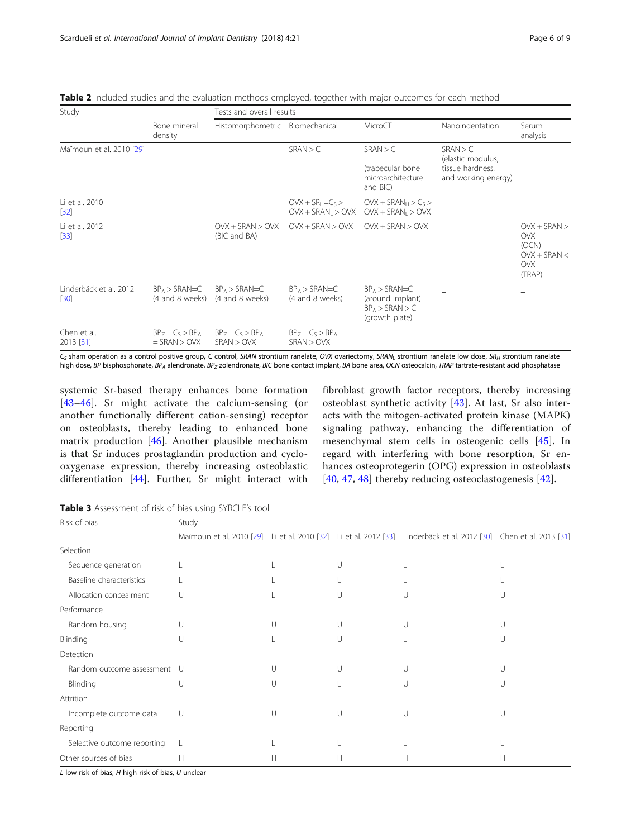<span id="page-5-0"></span>

| Table 2 Included studies and the evaluation methods employed, together with major outcomes for each method |  |  |
|------------------------------------------------------------------------------------------------------------|--|--|
|------------------------------------------------------------------------------------------------------------|--|--|

| Study                            |                                         | Tests and overall results           |                                            |                                                                              |                                                                          |                                                                               |  |
|----------------------------------|-----------------------------------------|-------------------------------------|--------------------------------------------|------------------------------------------------------------------------------|--------------------------------------------------------------------------|-------------------------------------------------------------------------------|--|
|                                  | Bone mineral<br>density                 | Histomorphometric Biomechanical     |                                            | MicroCT                                                                      | Nanoindentation                                                          | Serum<br>analysis                                                             |  |
| Maïmoun et al. 2010 [29]         |                                         |                                     | SRAN > C                                   | SRAN > C<br>(trabecular bone<br>microarchitecture<br>and BIC)                | SRAN > C<br>(elastic modulus,<br>tissue hardness,<br>and working energy) |                                                                               |  |
| Li et al. 2010<br>$[32]$         |                                         |                                     | $OVK + SR_H = C_S$<br>$OVX + SRAN_1 > OVX$ | $OVX + SRAN_H > C_S >$<br>$OVX + SRAN_1 > OVX$                               |                                                                          |                                                                               |  |
| Li et al. 2012<br>$[33]$         |                                         | $OVX + SRAN > OVX$<br>(BIC and BA)  | $OVX + SRAN > OVX$                         | $OVX + SRAN > OVX$                                                           |                                                                          | $OVX + SRAN$<br><b>OVX</b><br>(OCN)<br>$OVX + SRAN <$<br><b>OVX</b><br>(TRAP) |  |
| Linderbäck et al. 2012<br>$[30]$ | $BP_A > SRAN=C$<br>(4 and 8 weeks)      | $BP_A > SRAN=C$<br>(4 and 8 weeks)  | $BP_A > SRAN=C$<br>(4 and 8 weeks)         | $BP_A > SRAN = C$<br>(around implant)<br>$BP_A > SRAN > C$<br>(growth plate) |                                                                          |                                                                               |  |
| Chen et al.<br>2013 [31]         | $BP_7 = C_5 > BP_A$<br>$=$ SRAN $>$ OVX | $BP_7 = C_5 > BP_4 =$<br>SRAN > OVX | $BP_7 = C_5 > BP_A =$<br>SRAN > OVX        |                                                                              |                                                                          |                                                                               |  |

 $C_5$  sham operation as a control positive group, C control, SRAN strontium ranelate, OVX ovariectomy, SRAN<sub>L</sub> strontium ranelate low dose, SR<sub>H</sub> strontium ranelate high dose, BP bisphosphonate, BP<sub>A</sub> alendronate, BP<sub>Z</sub> zolendronate, BIC bone contact implant, BA bone area, OCN osteocalcin, TRAP tartrate-resistant acid phosphatase

systemic Sr-based therapy enhances bone formation [[43](#page-8-0)–[46\]](#page-8-0). Sr might activate the calcium-sensing (or another functionally different cation-sensing) receptor on osteoblasts, thereby leading to enhanced bone matrix production [[46\]](#page-8-0). Another plausible mechanism is that Sr induces prostaglandin production and cyclooxygenase expression, thereby increasing osteoblastic differentiation [[44\]](#page-8-0). Further, Sr might interact with

fibroblast growth factor receptors, thereby increasing osteoblast synthetic activity [[43\]](#page-8-0). At last, Sr also interacts with the mitogen-activated protein kinase (MAPK) signaling pathway, enhancing the differentiation of mesenchymal stem cells in osteogenic cells [\[45](#page-8-0)]. In regard with interfering with bone resorption, Sr enhances osteoprotegerin (OPG) expression in osteoblasts [[40,](#page-8-0) [47](#page-8-0), [48](#page-8-0)] thereby reducing osteoclastogenesis [[42\]](#page-8-0).

Table 3 Assessment of risk of bias using SYRCLE's tool

| Risk of bias                | Study |               |               |                                                                                                                    |   |  |  |
|-----------------------------|-------|---------------|---------------|--------------------------------------------------------------------------------------------------------------------|---|--|--|
|                             |       |               |               | Maïmoun et al. 2010 [29] Li et al. 2010 [32] Li et al. 2012 [33] Linderbäck et al. 2012 [30] Chen et al. 2013 [31] |   |  |  |
| Selection                   |       |               |               |                                                                                                                    |   |  |  |
| Sequence generation         |       |               |               |                                                                                                                    |   |  |  |
| Baseline characteristics    |       |               |               |                                                                                                                    |   |  |  |
| Allocation concealment      | U     |               |               | U                                                                                                                  | U |  |  |
| Performance                 |       |               |               |                                                                                                                    |   |  |  |
| Random housing              | U     | $\cup$        |               | U                                                                                                                  | U |  |  |
| Blinding                    | U     |               |               |                                                                                                                    | U |  |  |
| Detection                   |       |               |               |                                                                                                                    |   |  |  |
| Random outcome assessment U |       | $\Box$        |               | U                                                                                                                  | U |  |  |
| Blinding                    | U     | $\vert \vert$ |               | U                                                                                                                  | U |  |  |
| Attrition                   |       |               |               |                                                                                                                    |   |  |  |
| Incomplete outcome data     | U     | $\cup$        | $\vert \vert$ | U                                                                                                                  | U |  |  |
| Reporting                   |       |               |               |                                                                                                                    |   |  |  |
| Selective outcome reporting |       |               |               |                                                                                                                    |   |  |  |
| Other sources of bias       | H     | Н             | Н             | Н                                                                                                                  | Н |  |  |

 $L$  low risk of bias,  $H$  high risk of bias,  $U$  unclear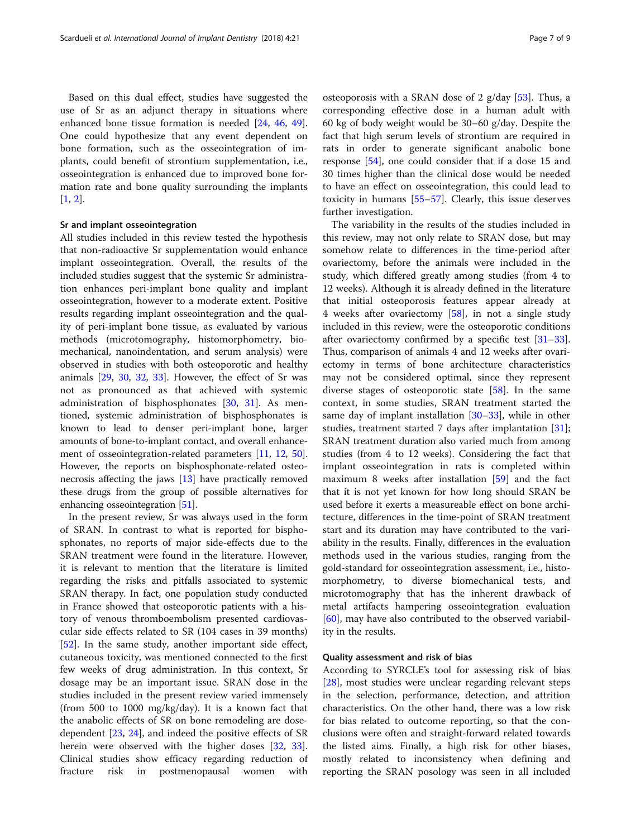Based on this dual effect, studies have suggested the use of Sr as an adjunct therapy in situations where enhanced bone tissue formation is needed [\[24,](#page-8-0) [46](#page-8-0), [49](#page-8-0)]. One could hypothesize that any event dependent on bone formation, such as the osseointegration of implants, could benefit of strontium supplementation, i.e., osseointegration is enhanced due to improved bone formation rate and bone quality surrounding the implants  $[1, 2]$  $[1, 2]$  $[1, 2]$  $[1, 2]$ .

#### Sr and implant osseointegration

All studies included in this review tested the hypothesis that non-radioactive Sr supplementation would enhance implant osseointegration. Overall, the results of the included studies suggest that the systemic Sr administration enhances peri-implant bone quality and implant osseointegration, however to a moderate extent. Positive results regarding implant osseointegration and the quality of peri-implant bone tissue, as evaluated by various methods (microtomography, histomorphometry, biomechanical, nanoindentation, and serum analysis) were observed in studies with both osteoporotic and healthy animals [[29](#page-8-0), [30,](#page-8-0) [32,](#page-8-0) [33](#page-8-0)]. However, the effect of Sr was not as pronounced as that achieved with systemic administration of bisphosphonates [\[30](#page-8-0), [31\]](#page-8-0). As mentioned, systemic administration of bisphosphonates is known to lead to denser peri-implant bone, larger amounts of bone-to-implant contact, and overall enhancement of osseointegration-related parameters [\[11](#page-7-0), [12,](#page-7-0) [50](#page-8-0)]. However, the reports on bisphosphonate-related osteonecrosis affecting the jaws [\[13\]](#page-7-0) have practically removed these drugs from the group of possible alternatives for enhancing osseointegration [[51](#page-8-0)].

In the present review, Sr was always used in the form of SRAN. In contrast to what is reported for bisphosphonates, no reports of major side-effects due to the SRAN treatment were found in the literature. However, it is relevant to mention that the literature is limited regarding the risks and pitfalls associated to systemic SRAN therapy. In fact, one population study conducted in France showed that osteoporotic patients with a history of venous thromboembolism presented cardiovascular side effects related to SR (104 cases in 39 months) [[52\]](#page-8-0). In the same study, another important side effect, cutaneous toxicity, was mentioned connected to the first few weeks of drug administration. In this context, Sr dosage may be an important issue. SRAN dose in the studies included in the present review varied immensely (from 500 to 1000 mg/kg/day). It is a known fact that the anabolic effects of SR on bone remodeling are dosedependent [[23,](#page-7-0) [24\]](#page-8-0), and indeed the positive effects of SR herein were observed with the higher doses [\[32,](#page-8-0) [33](#page-8-0)]. Clinical studies show efficacy regarding reduction of fracture risk in postmenopausal women with osteoporosis with a SRAN dose of 2 g/day [[53\]](#page-8-0). Thus, a corresponding effective dose in a human adult with 60 kg of body weight would be 30–60 g/day. Despite the fact that high serum levels of strontium are required in rats in order to generate significant anabolic bone response [[54](#page-8-0)], one could consider that if a dose 15 and 30 times higher than the clinical dose would be needed to have an effect on osseointegration, this could lead to toxicity in humans [[55](#page-8-0)–[57\]](#page-8-0). Clearly, this issue deserves further investigation.

The variability in the results of the studies included in this review, may not only relate to SRAN dose, but may somehow relate to differences in the time-period after ovariectomy, before the animals were included in the study, which differed greatly among studies (from 4 to 12 weeks). Although it is already defined in the literature that initial osteoporosis features appear already at 4 weeks after ovariectomy [\[58](#page-8-0)], in not a single study included in this review, were the osteoporotic conditions after ovariectomy confirmed by a specific test [[31](#page-8-0)–[33](#page-8-0)]. Thus, comparison of animals 4 and 12 weeks after ovariectomy in terms of bone architecture characteristics may not be considered optimal, since they represent diverse stages of osteoporotic state  $[58]$ . In the same context, in some studies, SRAN treatment started the same day of implant installation  $[30-33]$  $[30-33]$  $[30-33]$ , while in other studies, treatment started 7 days after implantation [\[31](#page-8-0)]; SRAN treatment duration also varied much from among studies (from 4 to 12 weeks). Considering the fact that implant osseointegration in rats is completed within maximum 8 weeks after installation [[59\]](#page-8-0) and the fact that it is not yet known for how long should SRAN be used before it exerts a measureable effect on bone architecture, differences in the time-point of SRAN treatment start and its duration may have contributed to the variability in the results. Finally, differences in the evaluation methods used in the various studies, ranging from the gold-standard for osseointegration assessment, i.e., histomorphometry, to diverse biomechanical tests, and microtomography that has the inherent drawback of metal artifacts hampering osseointegration evaluation [[60\]](#page-8-0), may have also contributed to the observed variability in the results.

#### Quality assessment and risk of bias

According to SYRCLE's tool for assessing risk of bias [[28\]](#page-8-0), most studies were unclear regarding relevant steps in the selection, performance, detection, and attrition characteristics. On the other hand, there was a low risk for bias related to outcome reporting, so that the conclusions were often and straight-forward related towards the listed aims. Finally, a high risk for other biases, mostly related to inconsistency when defining and reporting the SRAN posology was seen in all included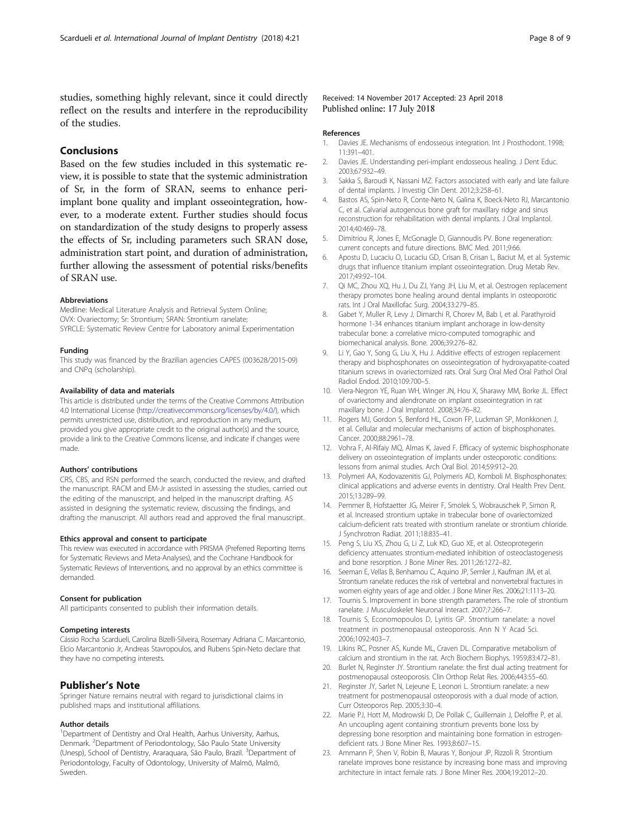<span id="page-7-0"></span>studies, something highly relevant, since it could directly reflect on the results and interfere in the reproducibility of the studies.

# Conclusions

Based on the few studies included in this systematic review, it is possible to state that the systemic administration of Sr, in the form of SRAN, seems to enhance periimplant bone quality and implant osseointegration, however, to a moderate extent. Further studies should focus on standardization of the study designs to properly assess the effects of Sr, including parameters such SRAN dose, administration start point, and duration of administration, further allowing the assessment of potential risks/benefits of SRAN use.

#### Abbreviations

Medline: Medical Literature Analysis and Retrieval System Online; OVX: Ovariectomy; Sr: Strontium; SRAN: Strontium ranelate; SYRCLE: Systematic Review Centre for Laboratory animal Experimentation

#### Funding

This study was financed by the Brazilian agencies CAPES (003628/2015-09) and CNPq (scholarship).

#### Availability of data and materials

This article is distributed under the terms of the Creative Commons Attribution 4.0 International License (<http://creativecommons.org/licenses/by/4.0/>), which permits unrestricted use, distribution, and reproduction in any medium, provided you give appropriate credit to the original author(s) and the source, provide a link to the Creative Commons license, and indicate if changes were made.

#### Authors' contributions

CRS, CBS, and RSN performed the search, conducted the review, and drafted the manuscript. RACM and EM-Jr assisted in assessing the studies, carried out the editing of the manuscript, and helped in the manuscript drafting. AS assisted in designing the systematic review, discussing the findings, and drafting the manuscript. All authors read and approved the final manuscript.

#### Ethics approval and consent to participate

This review was executed in accordance with PRISMA (Preferred Reporting Items for Systematic Reviews and Meta-Analyses), and the Cochrane Handbook for Systematic Reviews of Interventions, and no approval by an ethics committee is demanded.

#### Consent for publication

All participants consented to publish their information details.

#### Competing interests

Cássio Rocha Scardueli, Carolina Bizelli-Silveira, Rosemary Adriana C. Marcantonio, Elcio Marcantonio Jr, Andreas Stavropoulos, and Rubens Spin-Neto declare that they have no competing interests.

#### Publisher's Note

Springer Nature remains neutral with regard to jurisdictional claims in published maps and institutional affiliations.

#### Author details

<sup>1</sup>Department of Dentistry and Oral Health, Aarhus University, Aarhus, Denmark. <sup>2</sup>Department of Periodontology, São Paulo State University (Unesp), School of Dentistry, Araraquara, São Paulo, Brazil. <sup>3</sup>Department of Periodontology, Faculty of Odontology, University of Malmö, Malmö, Sweden.

#### Received: 14 November 2017 Accepted: 23 April 2018 Published online: 17 July 2018

#### References

- 1. Davies JE. Mechanisms of endosseous integration. Int J Prosthodont. 1998; 11:391–401.
- 2. Davies JE. Understanding peri-implant endosseous healing. J Dent Educ. 2003;67:932–49.
- 3. Sakka S, Baroudi K, Nassani MZ. Factors associated with early and late failure of dental implants. J Investig Clin Dent. 2012;3:258–61.
- 4. Bastos AS, Spin-Neto R, Conte-Neto N, Galina K, Boeck-Neto RJ, Marcantonio C, et al. Calvarial autogenous bone graft for maxillary ridge and sinus reconstruction for rehabilitation with dental implants. J Oral Implantol. 2014;40:469–78.
- 5. Dimitriou R, Jones E, McGonagle D, Giannoudis PV. Bone regeneration: current concepts and future directions. BMC Med. 2011;9:66.
- 6. Apostu D, Lucaciu O, Lucaciu GD, Crisan B, Crisan L, Baciut M, et al. Systemic drugs that influence titanium implant osseointegration. Drug Metab Rev. 2017;49:92–104.
- 7. Qi MC, Zhou XQ, Hu J, Du ZJ, Yang JH, Liu M, et al. Oestrogen replacement therapy promotes bone healing around dental implants in osteoporotic rats. Int J Oral Maxillofac Surg. 2004;33:279–85.
- 8. Gabet Y, Muller R, Levy J, Dimarchi R, Chorev M, Bab I, et al. Parathyroid hormone 1-34 enhances titanium implant anchorage in low-density trabecular bone: a correlative micro-computed tomographic and biomechanical analysis. Bone. 2006;39:276–82.
- 9. Li Y, Gao Y, Song G, Liu X, Hu J. Additive effects of estrogen replacement therapy and bisphosphonates on osseointegration of hydroxyapatite-coated titanium screws in ovariectomized rats. Oral Surg Oral Med Oral Pathol Oral Radiol Endod. 2010;109:700–5.
- 10. Viera-Negron YE, Ruan WH, Winger JN, Hou X, Sharawy MM, Borke JL. Effect of ovariectomy and alendronate on implant osseointegration in rat maxillary bone. J Oral Implantol. 2008;34:76–82.
- 11. Rogers MJ, Gordon S, Benford HL, Coxon FP, Luckman SP, Monkkonen J, et al. Cellular and molecular mechanisms of action of bisphosphonates. Cancer. 2000;88:2961–78.
- 12. Vohra F, Al-Rifaiy MQ, Almas K, Javed F. Efficacy of systemic bisphosphonate delivery on osseointegration of implants under osteoporotic conditions: lessons from animal studies. Arch Oral Biol. 2014;59:912–20.
- 13. Polymeri AA, Kodovazenitis GJ, Polymeris AD, Komboli M. Bisphosphonates: clinical applications and adverse events in dentistry. Oral Health Prev Dent. 2015;13:289–99.
- 14. Pemmer B, Hofstaetter JG, Meirer F, Smolek S, Wobrauschek P, Simon R, et al. Increased strontium uptake in trabecular bone of ovariectomized calcium-deficient rats treated with strontium ranelate or strontium chloride. J Synchrotron Radiat. 2011;18:835–41.
- 15. Peng S, Liu XS, Zhou G, Li Z, Luk KD, Guo XE, et al. Osteoprotegerin deficiency attenuates strontium-mediated inhibition of osteoclastogenesis and bone resorption. J Bone Miner Res. 2011;26:1272–82.
- 16. Seeman E, Vellas B, Benhamou C, Aquino JP, Semler J, Kaufman JM, et al. Strontium ranelate reduces the risk of vertebral and nonvertebral fractures in women eighty years of age and older. J Bone Miner Res. 2006;21:1113–20.
- 17. Tournis S. Improvement in bone strength parameters. The role of strontium ranelate. J Musculoskelet Neuronal Interact. 2007;7:266–7.
- 18. Tournis S, Economopoulos D, Lyritis GP. Strontium ranelate: a novel treatment in postmenopausal osteoporosis. Ann N Y Acad Sci. 2006;1092:403–7.
- 19. Likins RC, Posner AS, Kunde ML, Craven DL. Comparative metabolism of calcium and strontium in the rat. Arch Biochem Biophys. 1959;83:472–81.
- 20. Burlet N, Reginster JY. Strontium ranelate: the first dual acting treatment for postmenopausal osteoporosis. Clin Orthop Relat Res. 2006;443:55–60.
- 21. Reginster JY, Sarlet N, Lejeune E, Leonori L. Strontium ranelate: a new treatment for postmenopausal osteoporosis with a dual mode of action. Curr Osteoporos Rep. 2005;3:30–4.
- 22. Marie PJ, Hott M, Modrowski D, De Pollak C, Guillemain J, Deloffre P, et al. An uncoupling agent containing strontium prevents bone loss by depressing bone resorption and maintaining bone formation in estrogendeficient rats. J Bone Miner Res. 1993;8:607–15.
- 23. Ammann P, Shen V, Robin B, Mauras Y, Bonjour JP, Rizzoli R. Strontium ranelate improves bone resistance by increasing bone mass and improving architecture in intact female rats. J Bone Miner Res. 2004;19:2012–20.